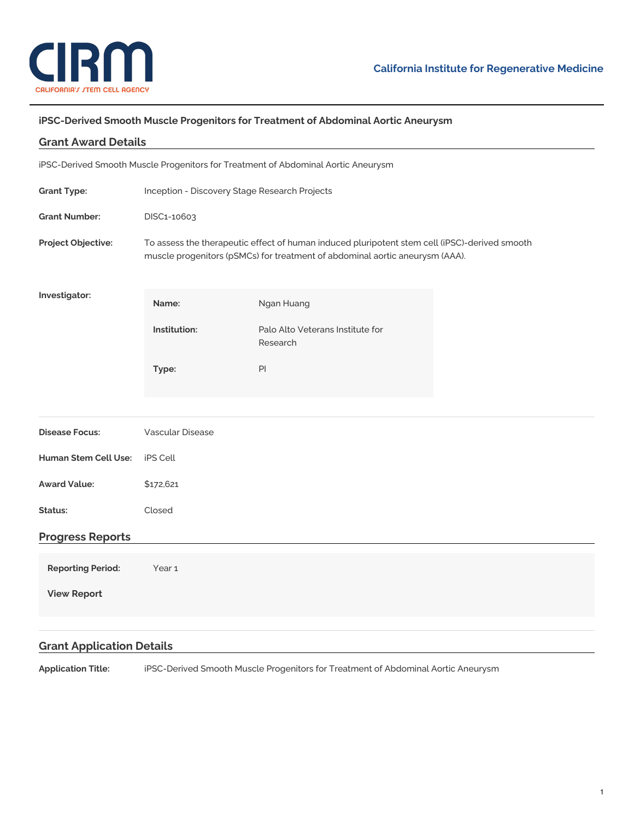

## **iPSC-Derived Smooth Muscle Progenitors for Treatment of Abdominal Aortic Aneurysm**

| <b>Grant Award Details</b>                                                        |                                                                                                                                                                               |                                              |  |
|-----------------------------------------------------------------------------------|-------------------------------------------------------------------------------------------------------------------------------------------------------------------------------|----------------------------------------------|--|
| iPSC-Derived Smooth Muscle Progenitors for Treatment of Abdominal Aortic Aneurysm |                                                                                                                                                                               |                                              |  |
| <b>Grant Type:</b>                                                                | Inception - Discovery Stage Research Projects                                                                                                                                 |                                              |  |
| <b>Grant Number:</b>                                                              | DISC1-10603                                                                                                                                                                   |                                              |  |
| Project Objective:                                                                | To assess the therapeutic effect of human induced pluripotent stem cell (iPSC)-derived smooth<br>muscle progenitors (pSMCs) for treatment of abdominal aortic aneurysm (AAA). |                                              |  |
| Investigator:                                                                     | Name:                                                                                                                                                                         | Ngan Huang                                   |  |
|                                                                                   | Institution:                                                                                                                                                                  | Palo Alto Veterans Institute for<br>Research |  |
|                                                                                   | Type:                                                                                                                                                                         | $\mathsf{Pl}$                                |  |
|                                                                                   |                                                                                                                                                                               |                                              |  |
| <b>Disease Focus:</b>                                                             | <b>Vascular Disease</b>                                                                                                                                                       |                                              |  |
| <b>Human Stem Cell Use:</b>                                                       | <b>iPS Cell</b>                                                                                                                                                               |                                              |  |
| <b>Award Value:</b>                                                               | \$172,621                                                                                                                                                                     |                                              |  |
| Status:                                                                           | Closed                                                                                                                                                                        |                                              |  |
| <b>Progress Reports</b>                                                           |                                                                                                                                                                               |                                              |  |
| <b>Reporting Period:</b>                                                          | Year <sub>1</sub>                                                                                                                                                             |                                              |  |
| <b>View Report</b>                                                                |                                                                                                                                                                               |                                              |  |
|                                                                                   |                                                                                                                                                                               |                                              |  |
| <b>Grant Application Details</b>                                                  |                                                                                                                                                                               |                                              |  |

**Application Title:** iPSC-Derived Smooth Muscle Progenitors for Treatment of Abdominal Aortic Aneurysm